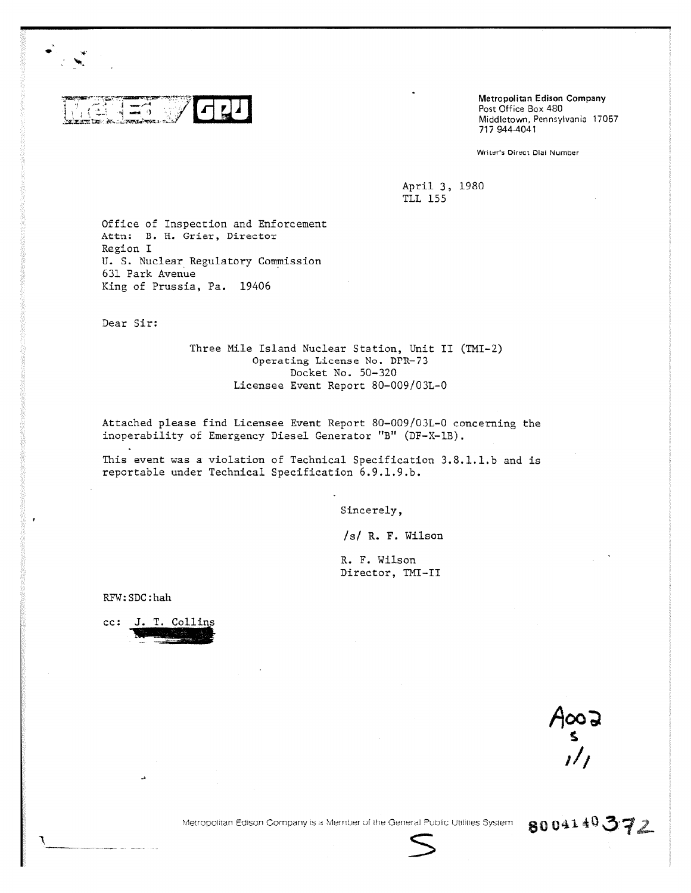

Metropolitan Edison Company Post Office Box 480 Middletown, Pennsylvania 17057 717 944-4041

Writer's Direct Dial Number

April 3, 1980 TLL 155

Office of Inspection and Enforcement Attn: B. H. Grier, Director Region I U. S. Nuclear Regulatory Commission 631 Park Avenue King of Prussia, Pa. 19406

Dear Sir:

Three Mile Island Nuclear Station, Unit II (TMI-2) Operating License No. DPR-73 Docket No. 50-320 Licensee Event Report 80-009/03L-0

Attached please find Licensee Event Report 80-009/03L-0 concerning the inoperability of Emergency Diesel Generator "B" (DF-X-1B).

This event was a violation of Technical Specification 3.8.1.1.b and is reportable under Technical Specification 6.9.1.9.b.

Sincerely,

/s/ R. F. Wilson

R. F. Wilson Director, TMI-II

RFW: SDC: hah

cc: J. T. Collins

EooA<br>^^^

8004140372

Metropolitan Edison Company is a Member of the General Public Utilities System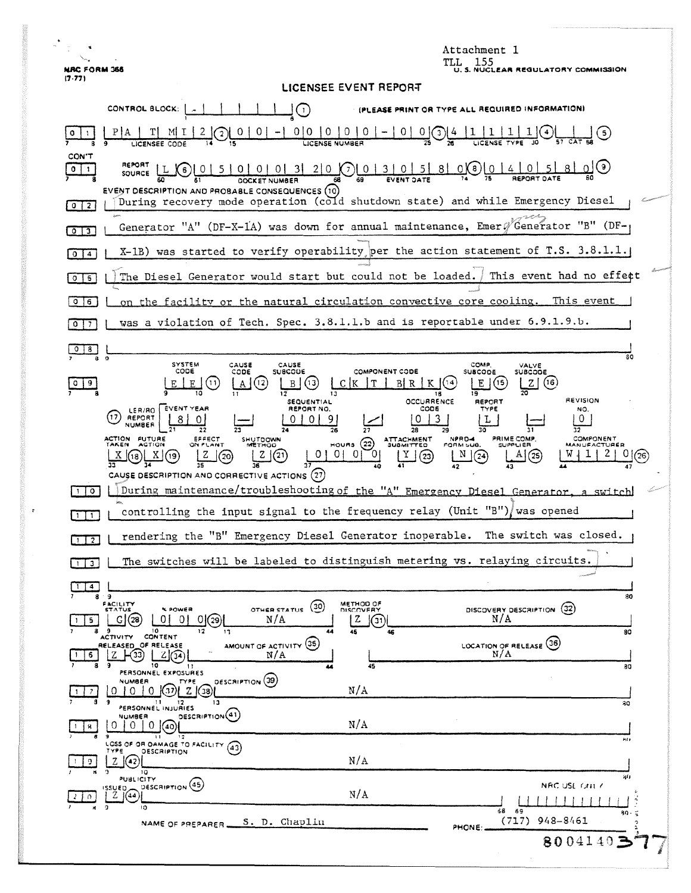|                                                                                                                                                                                                                                                                                                                                                                                                                                                                                                                                                                                                                                                                  | Attachment 1<br>- 155<br>TLL.                          |
|------------------------------------------------------------------------------------------------------------------------------------------------------------------------------------------------------------------------------------------------------------------------------------------------------------------------------------------------------------------------------------------------------------------------------------------------------------------------------------------------------------------------------------------------------------------------------------------------------------------------------------------------------------------|--------------------------------------------------------|
| <b>NRC FORM 366</b><br><b>J. S. NUCLEAR REGULATORY COMMISSION</b><br>(7.77)                                                                                                                                                                                                                                                                                                                                                                                                                                                                                                                                                                                      |                                                        |
| LICENSEE EVENT REPORT<br>CONTROL BLOCK:<br>ASE PRINT OR TYPE ALL REQUIRED INFORMATION)<br>$\left(1\right)$                                                                                                                                                                                                                                                                                                                                                                                                                                                                                                                                                       |                                                        |
| 0 0<br>$\overline{0}$<br>$\overline{0}$<br>0<br>$\mathbf{0}$                                                                                                                                                                                                                                                                                                                                                                                                                                                                                                                                                                                                     | $\overline{G}$<br>್ರ                                   |
| CON'T<br>REPORT<br>$\underbrace{01510101013121000}_{\text{OCKET NUMBER}}\bigcirc \underbrace{01312100}_{\text{GCKET NUMBER}}\bigcirc \underbrace{01310151810}_{\text{EVENT SATE}}\bigcirc \underbrace{01410151}_{\text{ACFORT SATE}}$<br><u>ി(</u> 6)<br><u>_8 l</u><br>$0+1$<br>(X 6)<br>SOURCE<br>EVENT DESCRIPTION AND PROBABLE CONSEQUENCES (10)<br>During recovery mode operation (cold shutdown state) and while Emergency Diesel<br>$0$   2                                                                                                                                                                                                               |                                                        |
| Generator "A" (DF-X-1A) was down for annual maintenance, Emers Generator "B" (DF-<br>$0$ $3$                                                                                                                                                                                                                                                                                                                                                                                                                                                                                                                                                                     |                                                        |
| X-1B) was started to verify operability per the action statement of T.S. 3.8.1.1.<br>$\mathbf{0}$<br>$\ddot{a}$                                                                                                                                                                                                                                                                                                                                                                                                                                                                                                                                                  |                                                        |
| This event had no effect<br>The Diesel Generator would start but could not be loaded.<br>$0$   5                                                                                                                                                                                                                                                                                                                                                                                                                                                                                                                                                                 |                                                        |
| on the facility or the natural circulation convective core cooling. This event<br>$\circ$<br>6                                                                                                                                                                                                                                                                                                                                                                                                                                                                                                                                                                   |                                                        |
| was a violation of Tech. Spec. 3.8.1.1.b and is reportable under 6.9.1.9.b.<br>0<br>7                                                                                                                                                                                                                                                                                                                                                                                                                                                                                                                                                                            |                                                        |
| 8.<br>80                                                                                                                                                                                                                                                                                                                                                                                                                                                                                                                                                                                                                                                         |                                                        |
| $\bullet$<br><b>SYSTEM</b><br>CAUSE<br>CAUSE<br>CODE<br>SUBCODE<br><b>COMPONENT CODE</b><br>CODE                                                                                                                                                                                                                                                                                                                                                                                                                                                                                                                                                                 | COMP.<br>VALVE<br><b>SUBCODE</b><br><b>SUBCODE</b>     |
| т<br>B R<br>Е<br>(13)<br>(16)<br>(12)<br>C IK<br>Z.<br>B<br>А<br>19<br>18<br><b>REVISION</b><br>OCCURRENCE<br><b>REPORT</b><br><b>SEQUENTIAL</b><br>LER/RO   EVENT YEAR<br>CODE<br>REPORT NO.<br>TYPE<br>NO.<br>REPORT<br>0<br>3<br>L<br>0<br><b>NUMBER</b><br>26<br>٦Λ<br>32<br>ACTION FUTURE<br>EFFECT<br>NPRD-4<br>PRIME COMP.<br>COMPONENT<br>SHUTDOWN<br><b>ATTACHMENT</b><br>mous (22)<br>ON PLANT<br><b>SUPPLIER</b><br><b>TAKEN</b><br><b>ACTION</b><br><b>METHOD</b><br>MANUFACTURER<br><b>SUBMITTED</b><br>FORM SUB.<br>0.<br>N<br>z<br>(21)<br>(20)<br>(23)<br>$\left( 24\right)$<br>(25<br>(26<br>х<br>CAUSE DESCRIPTION AND CORRECTIVE ACTIONS (27) |                                                        |
| During maintenance/troubleshooting of the "A" Emergency Diesel Generator, a switch<br>$\circ$<br>controlling the input signal to the frequency relay (Unit "B")/was opened                                                                                                                                                                                                                                                                                                                                                                                                                                                                                       |                                                        |
| $\mathbf{1}$<br>rendering the "B" Emergency Diesel Generator inoperable. The switch was closed.                                                                                                                                                                                                                                                                                                                                                                                                                                                                                                                                                                  |                                                        |
| $1 \mid 2 \mid$<br>The switches will be labeled to distinguish metering vs. relaying circuits.                                                                                                                                                                                                                                                                                                                                                                                                                                                                                                                                                                   |                                                        |
| $\mathbf{3}$                                                                                                                                                                                                                                                                                                                                                                                                                                                                                                                                                                                                                                                     |                                                        |
| 4<br>89<br>METHOD OF<br>FACILITY<br>(30)<br><b>K POWER</b><br>OTHER STATUS<br>STATUS<br>DISCOVERY<br>N/A<br>01<br>G(28)<br>01(29)<br>01<br>Z<br>(31)<br>5.<br>8<br>10<br>13<br>44<br>46                                                                                                                                                                                                                                                                                                                                                                                                                                                                          | 80<br>(32)<br>DISCOVERY DESCRIPTION<br>N/A<br>80       |
| CONTENT<br>ACTIVITY<br>AMOUNT OF ACTIVITY (35)<br>RELEASED OF RELEASE<br>N/A<br>5.<br>10<br>45<br>-1.1<br>44<br>PERSONNEL EXPOSURES                                                                                                                                                                                                                                                                                                                                                                                                                                                                                                                              | <b>{36}</b><br><b>LOCATION OF RELEASE</b><br>N/A<br>30 |
| OESCRIPTION (39)<br>NUMBER<br>TYPE<br>N/A<br>37<br>Z(38)                                                                                                                                                                                                                                                                                                                                                                                                                                                                                                                                                                                                         |                                                        |
| 9<br>13<br>21 12<br>PERSONNEL INJURIES<br><b>DESCRIPTION</b> (41)<br>NUMBER                                                                                                                                                                                                                                                                                                                                                                                                                                                                                                                                                                                      | 80                                                     |
| N/A<br>0<br>0<br>$0 \frac{1}{40}$<br>11<br>12<br>kit e<br>LOSS OF OR DAMAGE TO FACILITY                                                                                                                                                                                                                                                                                                                                                                                                                                                                                                                                                                          |                                                        |
| (43)<br>TYPE<br><b>DESCRIPTION</b><br>N/A<br>Z.<br>'42                                                                                                                                                                                                                                                                                                                                                                                                                                                                                                                                                                                                           |                                                        |
| 10<br>PUBLICITY<br>DESCRIPTION (45)<br>ISSUED.<br>N/A<br>$2 \frac{1}{44}$<br>ി<br>ı٥                                                                                                                                                                                                                                                                                                                                                                                                                                                                                                                                                                             | жυ<br>NAC USE ONE C<br>68 69                           |
| 90<br>(717)<br>948-8461<br>S. D. Chaplin<br>NAME OF PREPARER<br>PHONE:                                                                                                                                                                                                                                                                                                                                                                                                                                                                                                                                                                                           |                                                        |
| 8004140                                                                                                                                                                                                                                                                                                                                                                                                                                                                                                                                                                                                                                                          |                                                        |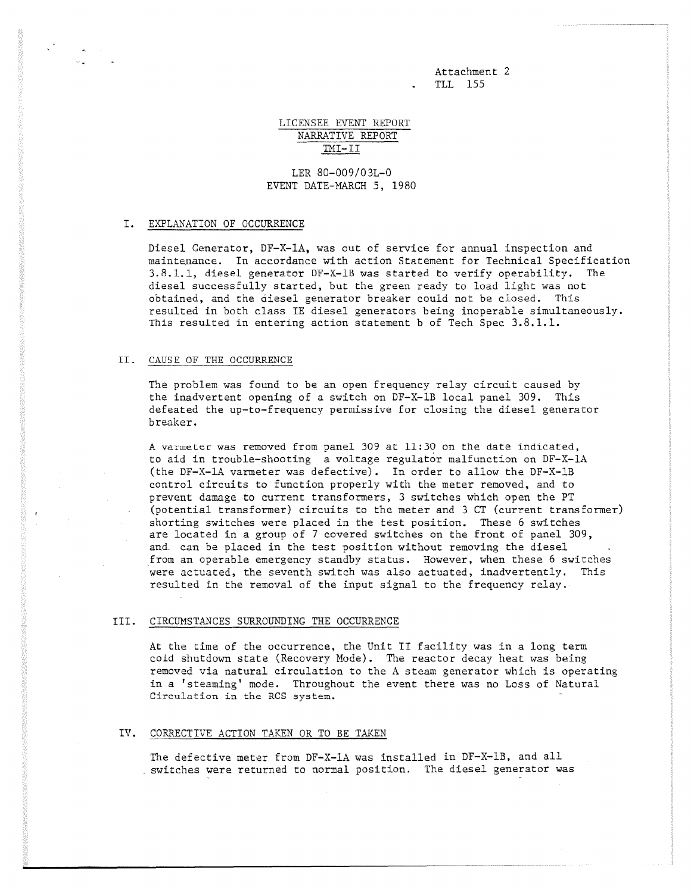Attachment 2 . TLL 155

# LICENSEE EVENT REPORT NARRATIVE REPORT  $IMI-II$

LER 80-009/03L-0 EVENT DATE-MARCH 5, 1980

### I. EXPLANATION OF OCCURRENCE

Diesel Generator, DF-X-1A, was out of service for annual inspection and maintenance. In accordance with action Statement for Technical Specification 3.8.1.1, diesel generator DF-X-1B was started to verify operability. The diesel successfully started, but the green ready to load light was not obtained, and the diesel generator breaker could not be closed. This resulted in both class IE diesel generators being inoperable simultaneously. This resulted in entering action statement b of Tech Spec 3.8.1.1.

### II. CAUSE OF THE OCCURRENCE

The problem was found to be an open frequency relay circuit caused by the inadvertent opening of a switch on DF-X-1B local panel 309. This defeated the up-to-frequency permissive for closing the diesel generator breaker.

A varmeter was removed from panel 309 at 11:30 on the date indicated, to aid in trouble-shooting a voltage regulator malfunction on DF-X-1A (the DF-X-1A varmeter was defective). In order to allow the DF-X-1B control circuits to function properly with the meter removed, and to prevent damage to current transformers, 3 switches which open the PT (potential transformer) circuits to the meter and 3 CT (current transformer) shorting switches were placed in the test position. These 6 switches are located in a group of 7 covered switches on the front of panel 309, and. can be placed in the test position without removing the diesel from an operable emergency standby status. However, when these 6 switches were actuated, the seventh switch was also actuated, inadvertently. This resulted in the removal of the input signal to the frequency relay.

## III. CIRCUMSTANCES SURROUNDING THE OCCURRENCE

At the time of the occurrence, the Unit IT facility was in a long term cold shutdown state (Recovery Mode). The reactor decay heat was being removed via natural circulation to the A steam generator which is operating in a 'steaming' mode. Throughout the event there was no Loss of Natural Circulation in the RCS system.

### IV. CORRECTIVE ACTION TAKEN OR TO BE TAKEN

The defective meter from DF-X-1A was installed in DF-X-1B, and all \_switches were returned to normal position. The diesel generator was